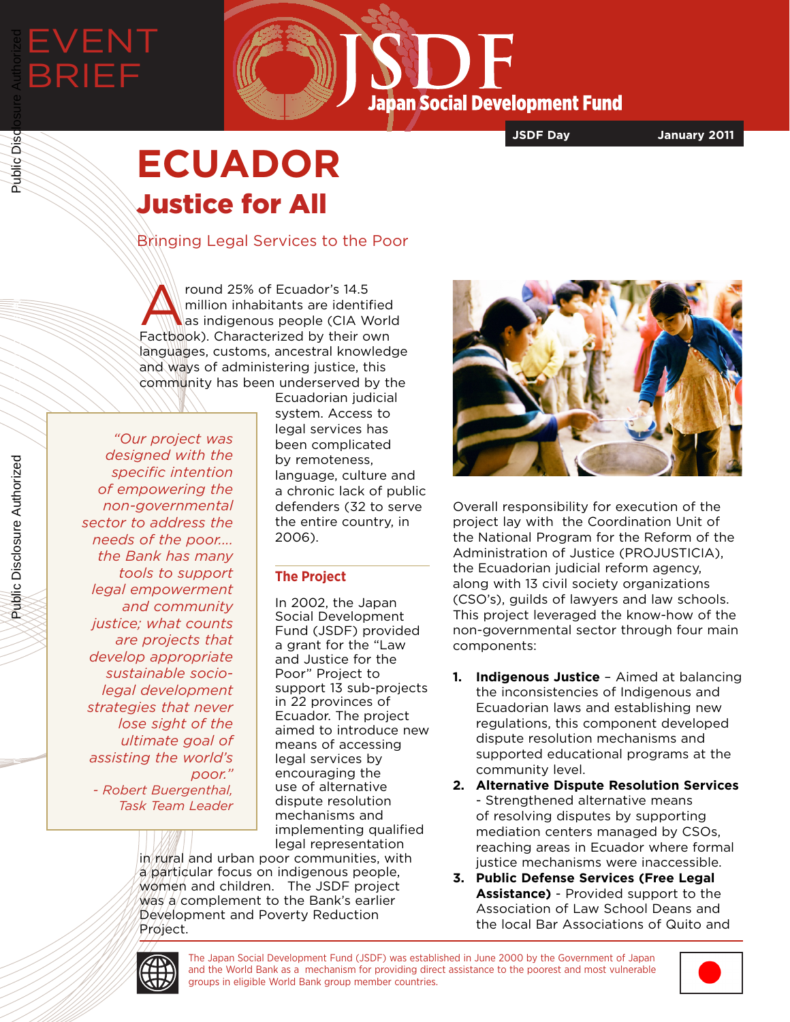# EVENT BRIEF Public Disclosure Authorized

**Japan Social Development Fund** 

**JSDF Day January 2011**

## **ECUADOR** Justice for All

Bringing Legal Services to the Poor

round 25% of Ecuador's 14.5<br>million inhabitants are identif<br>as indigenous people (CIA W million inhabitants are identified as indigenous people (CIA World Factbook). Characterized by their own languages, customs, ancestral knowledge and ways of administering justice, this community has been underserved by the

*"Our project was designed with the specific intention of empowering the non-governmental sector to address the needs of the poor.... the Bank has many tools to support legal empowerment and community justice; what counts are projects that develop appropriate sustainable sociolegal development strategies that never lose sight of the ultimate goal of assisting the world's poor." - Robert Buergenthal, Task Team Leader*

Ecuadorian judicial system. Access to legal services has been complicated by remoteness, language, culture and a chronic lack of public defenders (32 to serve the entire country, in 2006).

### **The Project**

In 2002, the Japan Social Development Fund (JSDF) provided a grant for the "Law and Justice for the Poor" Project to support 13 sub-projects in 22 provinces of Ecuador. The project aimed to introduce new means of accessing legal services by encouraging the use of alternative dispute resolution mechanisms and implementing qualified legal representation

in rural and urban poor communities, with a particular focus on indigenous people, women and children. The JSDF project  $W$ as a complement to the Bank's earlier Development and Poverty Reduction Project.



Overall responsibility for execution of the project lay with the Coordination Unit of the National Program for the Reform of the Administration of Justice (PROJUSTICIA), the Ecuadorian judicial reform agency, along with 13 civil society organizations (CSO's), guilds of lawyers and law schools. This project leveraged the know-how of the non-governmental sector through four main components:

- **1. Indigenous Justice** Aimed at balancing the inconsistencies of Indigenous and Ecuadorian laws and establishing new regulations, this component developed dispute resolution mechanisms and supported educational programs at the community level.
- **2. Alternative Dispute Resolution Services**  - Strengthened alternative means of resolving disputes by supporting mediation centers managed by CSOs, reaching areas in Ecuador where formal justice mechanisms were inaccessible.
- **3. Public Defense Services (Free Legal Assistance)** - Provided support to the Association of Law School Deans and the local Bar Associations of Quito and



The Japan Social Development Fund (JSDF) was established in June 2000 by the Government of Japan and the World Bank as a mechanism for providing direct assistance to the poorest and most vulnerable groups in eligible World Bank group member countries.



Public Disclosure Authorized

Public Disclosure Authorized

Public Disc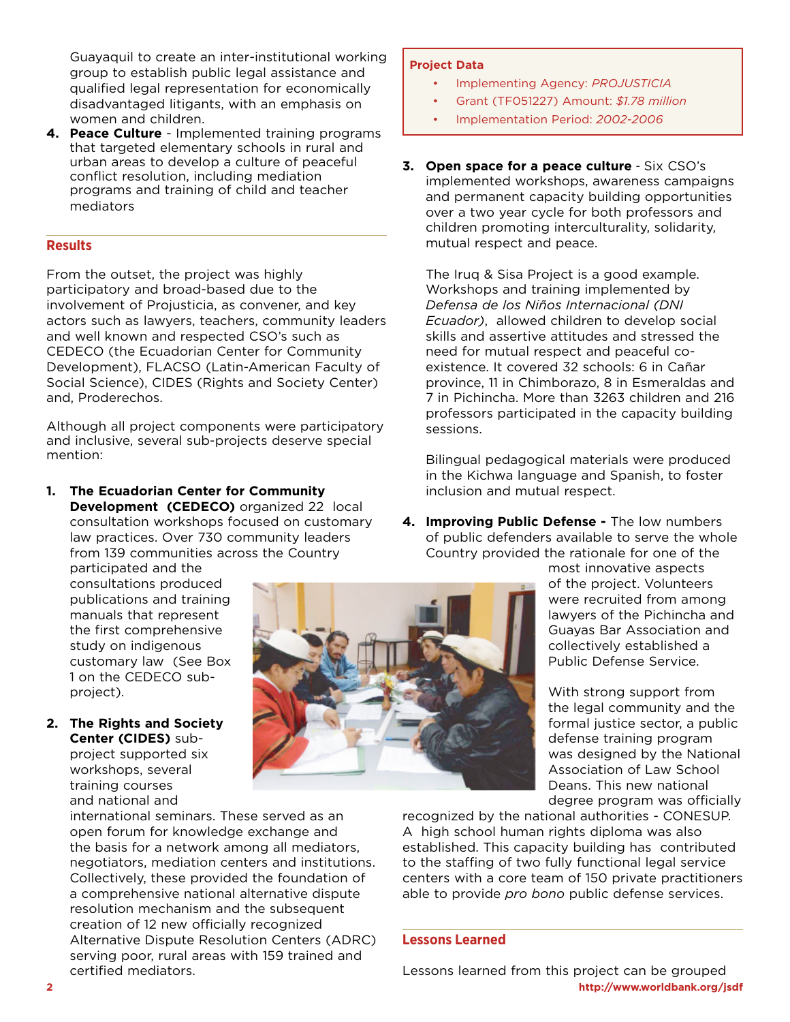Guayaquil to create an inter-institutional working group to establish public legal assistance and qualified legal representation for economically disadvantaged litigants, with an emphasis on women and children.

**4. Peace Culture** - Implemented training programs that targeted elementary schools in rural and urban areas to develop a culture of peaceful conflict resolution, including mediation programs and training of child and teacher mediators

#### **Results**

From the outset, the project was highly participatory and broad-based due to the involvement of Projusticia, as convener, and key actors such as lawyers, teachers, community leaders and well known and respected CSO's such as CEDECO (the Ecuadorian Center for Community Development), FLACSO (Latin-American Faculty of Social Science), CIDES (Rights and Society Center) and, Proderechos.

Although all project components were participatory and inclusive, several sub-projects deserve special mention:

**1. The Ecuadorian Center for Community Development (CEDECO)** organized 22 local consultation workshops focused on customary law practices. Over 730 community leaders from 139 communities across the Country

participated and the consultations produced publications and training manuals that represent the first comprehensive study on indigenous customary law (See Box 1 on the CEDECO subproject).

**2. The Rights and Society Center (CIDES)** subproject supported six workshops, several training courses and national and

> international seminars. These served as an open forum for knowledge exchange and the basis for a network among all mediators, negotiators, mediation centers and institutions. Collectively, these provided the foundation of a comprehensive national alternative dispute resolution mechanism and the subsequent creation of 12 new officially recognized Alternative Dispute Resolution Centers (ADRC) serving poor, rural areas with 159 trained and certified mediators.

#### **Project Data**

- Implementing Agency: *PROJUSTICIA*
- Grant (TF051227) Amount: *\$1.78 million*
- Implementation Period: *2002-2006*
- **3. Open space for a peace culture** Six CSO's implemented workshops, awareness campaigns and permanent capacity building opportunities over a two year cycle for both professors and children promoting interculturality, solidarity, mutual respect and peace.

The Iruq & Sisa Project is a good example. Workshops and training implemented by *Defensa de los Niños Internacional (DNI Ecuador)*, allowed children to develop social skills and assertive attitudes and stressed the need for mutual respect and peaceful coexistence. It covered 32 schools: 6 in Cañar province, 11 in Chimborazo, 8 in Esmeraldas and 7 in Pichincha. More than 3263 children and 216 professors participated in the capacity building sessions.

Bilingual pedagogical materials were produced in the Kichwa language and Spanish, to foster inclusion and mutual respect.

**4. Improving Public Defense -** The low numbers of public defenders available to serve the whole Country provided the rationale for one of the

most innovative aspects of the project. Volunteers were recruited from among lawyers of the Pichincha and Guayas Bar Association and collectively established a Public Defense Service.

With strong support from the legal community and the formal justice sector, a public defense training program was designed by the National Association of Law School Deans. This new national degree program was officially

recognized by the national authorities - CONESUP. A high school human rights diploma was also established. This capacity building has contributed to the staffing of two fully functional legal service centers with a core team of 150 private practitioners able to provide *pro bono* public defense services.

#### **Lessons Learned**

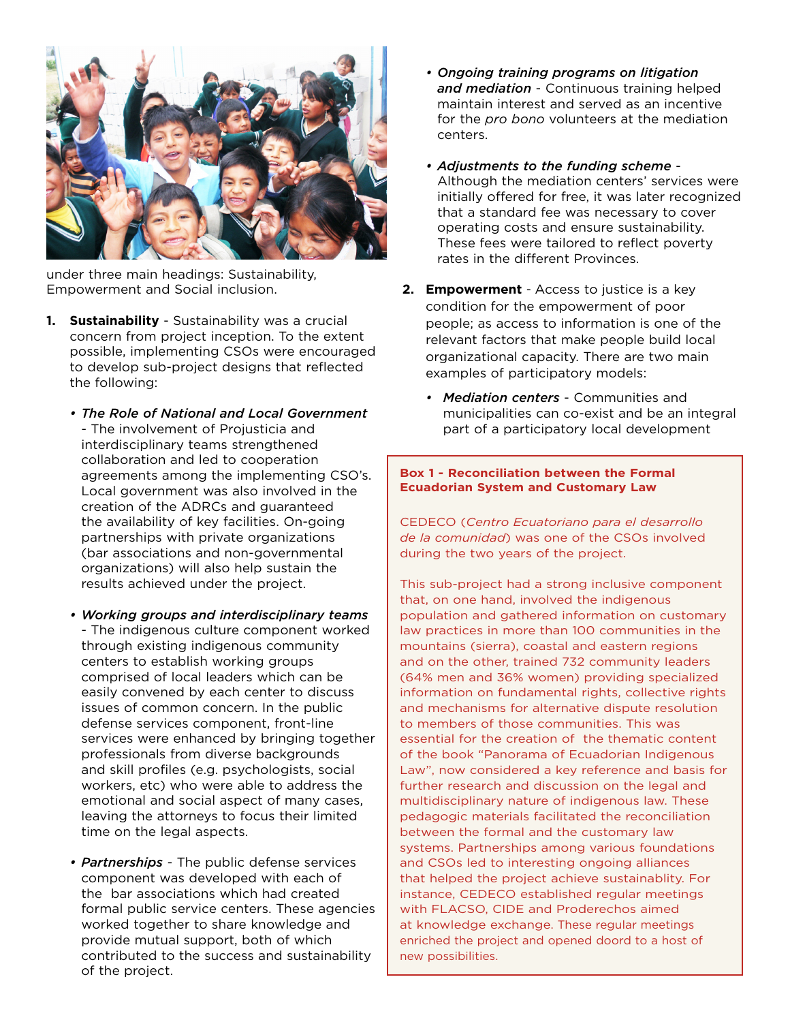

under three main headings: Sustainability, Empowerment and Social inclusion.

- **1.** Sustainability Sustainability was a crucial concern from project inception. To the extent possible, implementing CSOs were encouraged to develop sub-project designs that reflected the following:
	- *• The Role of National and Local Government*  - The involvement of Projusticia and interdisciplinary teams strengthened collaboration and led to cooperation agreements among the implementing CSO's. Local government was also involved in the creation of the ADRCs and guaranteed the availability of key facilities. On-going partnerships with private organizations (bar associations and non-governmental organizations) will also help sustain the results achieved under the project.
	- *• Working groups and interdisciplinary teams*  - The indigenous culture component worked through existing indigenous community centers to establish working groups comprised of local leaders which can be easily convened by each center to discuss issues of common concern. In the public defense services component, front-line services were enhanced by bringing together professionals from diverse backgrounds and skill profiles (e.g. psychologists, social workers, etc) who were able to address the emotional and social aspect of many cases, leaving the attorneys to focus their limited time on the legal aspects.
	- *• Partnerships*  The public defense services component was developed with each of the bar associations which had created formal public service centers. These agencies worked together to share knowledge and provide mutual support, both of which contributed to the success and sustainability of the project.
- *• Ongoing training programs on litigation and mediation* - Continuous training helped maintain interest and served as an incentive for the *pro bono* volunteers at the mediation centers.
- *• Adjustments to the funding scheme* Although the mediation centers' services were initially offered for free, it was later recognized that a standard fee was necessary to cover operating costs and ensure sustainability. These fees were tailored to reflect poverty rates in the different Provinces.
- **2. Empowerment** Access to justice is a key condition for the empowerment of poor people; as access to information is one of the relevant factors that make people build local organizational capacity. There are two main examples of participatory models:
	- *• Mediation centers* Communities and municipalities can co-exist and be an integral part of a participatory local development

#### **Box 1 - Reconciliation between the Formal Ecuadorian System and Customary Law**

CEDECO (*Centro Ecuatoriano para el desarrollo de la comunidad*) was one of the CSOs involved during the two years of the project.

This sub-project had a strong inclusive component that, on one hand, involved the indigenous population and gathered information on customary law practices in more than 100 communities in the mountains (sierra), coastal and eastern regions and on the other, trained 732 community leaders (64% men and 36% women) providing specialized information on fundamental rights, collective rights and mechanisms for alternative dispute resolution to members of those communities. This was essential for the creation of the thematic content of the book "Panorama of Ecuadorian Indigenous Law", now considered a key reference and basis for further research and discussion on the legal and multidisciplinary nature of indigenous law. These pedagogic materials facilitated the reconciliation between the formal and the customary law systems. Partnerships among various foundations and CSOs led to interesting ongoing alliances that helped the project achieve sustainablity. For instance, CEDECO established regular meetings with FLACSO, CIDE and Proderechos aimed at knowledge exchange. These regular meetings enriched the project and opened doord to a host of new possibilities.